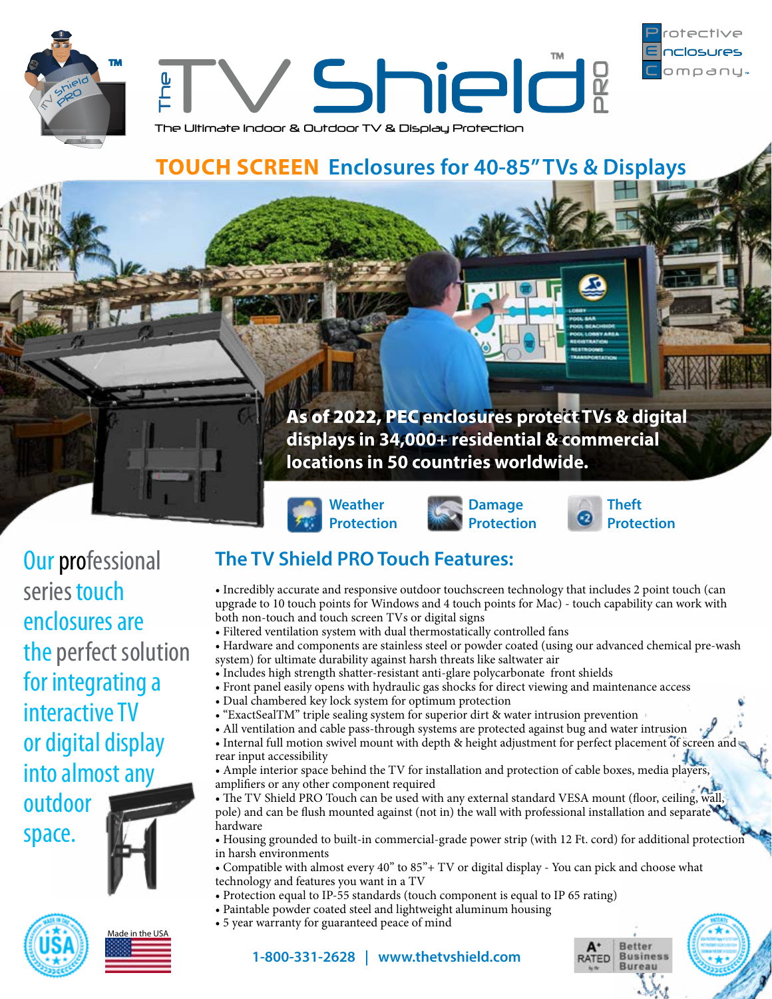







**Weather Protection**





omoanu

**Our professional** series touch enclosures are the perfect solution for integrating a interactive TV or digital display into almost any

outdoor space.







# **The TV Shield PRO Touch Features:**

- Incredibly accurate and responsive outdoor touchscreen technology that includes 2 point touch (can upgrade to 10 touch points for Windows and 4 touch points for Mac) - touch capability can work with both non-touch and touch screen TVs or digital signs
- Filtered ventilation system with dual thermostatically controlled fans
- Hardware and components are stainless steel or powder coated (using our advanced chemical pre-wash system) for ultimate durability against harsh threats like saltwater air
- Includes high strength shatter-resistant anti-glare polycarbonate front shields
- Front panel easily opens with hydraulic gas shocks for direct viewing and maintenance access
- Dual chambered key lock system for optimum protection
- "ExactSealTM" triple sealing system for superior dirt & water intrusion prevention
- All ventilation and cable pass-through systems are protected against bug and water intrusion
- Internal full motion swivel mount with depth & height adjustment for perfect placement of screen and rear input accessibility
- Ample interior space behind the TV for installation and protection of cable boxes, media players, amplifiers or any other component required
- The TV Shield PRO Touch can be used with any external standard VESA mount (floor, ceiling, wall pole) and can be flush mounted against (not in) the wall with professional installation and separate hardware
- Housing grounded to built-in commercial-grade power strip (with 12 Ft. cord) for additional protection in harsh environments
- Compatible with almost every 40" to 85"+ TV or digital display You can pick and choose what technology and features you want in a TV
- Protection equal to IP-55 standards (touch component is equal to IP 65 rating)
- Paintable powder coated steel and lightweight aluminum housing
- 5 year warranty for guaranteed peace of mind